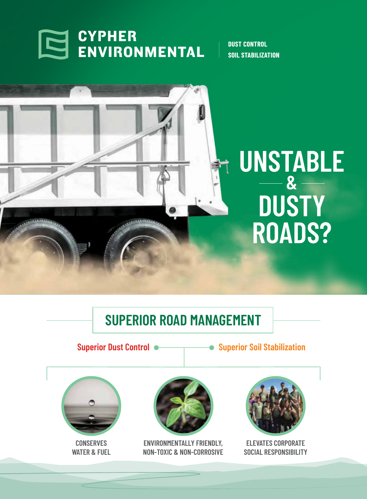

**DUST CONTROL SOIL STABILIZATION**



## **SUPERIOR ROAD MANAGEMENT**

**Superior Dust Control**  $\bullet$  **Superior Soil Stabilization** 



**CONSERVES WATER & FUEL**



**ENVIRONMENTALLY FRIENDLY, NON-TOXIC & NON-CORROSIVE**



**ELEVATES CORPORATE SOCIAL RESPONSIBILITY**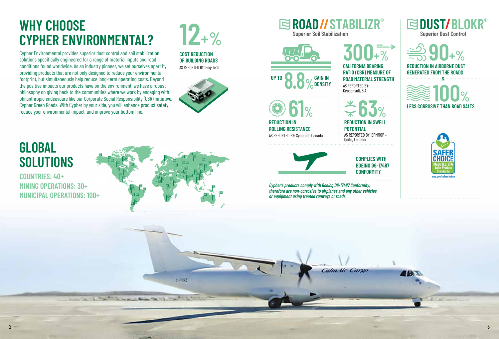**61%**

**REDUCTION IN**

**ROLLING RESISTANCE**

AS REPORTED BY: Syncrude Canada

**63% REDUCTION IN SWELL POTENTIAL** AS REPORTED BY: EPMMOP – Quito, Ecuador



**90+%**

**REDUCTION IN AIRBORNE DUST** 



**Cypher's products comply with Boeing D6-17487 Conformity, therefore are non-corrosive to airplanes and any other vehicles or equipment using treated runways or roads.**

Calm dir Cargo



 $2 \pm 3$ 



0-F092



**EDUST/BLOKR®** 

**300+% CALIFORNIA BEARING RATIO (CBR) MEASURE OF ROAD MATERIAL STRENGTH** AS REPORTED BY: Geoconsult, S.A.

Cypher Environmental provides superior dust control and soil stabilization solutions specifically engineered for a range of material inputs and road conditions found worldwide. As an industry pioneer, we set ourselves apart by providing products that are not only designed to reduce your environmental footprint, but simultaneously help reduce long-term operating costs. Beyond the positive impacts our products have on the environment, we have a robust philosophy on giving back to the communities where we work by engaging with philanthropic endeavours like our Corporate Social Responsibility (CSR) initiative, Cypher Green Roads. With Cypher by your side, you will enhance product safety, reduce your environmental impact, and improve your bottom line.

**GENERATED FROM THE ROADS 100% LESS CORROSIVE THAN ROAD SALTS &**

**GLOBAL** 

**SOLUTIONS**

AS REPORTED BY: Eng-Tech



### **SROAD//STABILIZR® Superior Soil Stabilization Superior Dust Control Superior Dust Control**

# **WHY CHOOSE CYPHER ENVIRONMENTAL?**



**COUNTRIES: 40+**



**COMPLIES WITH BOEING D6-17487 CONFORMITY**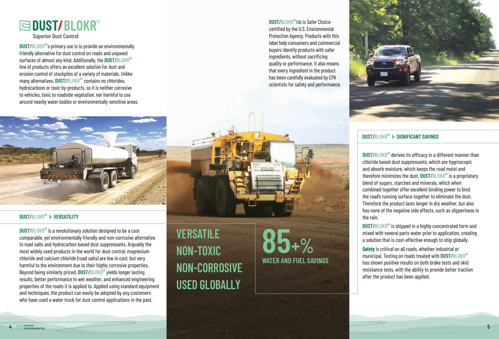

**DUST/BLOKR**®'s primary use is to provide an environmentally friendly alternative for dust control on roads and unpaved surfaces of almost any kind. Additionally, the **DUST/BLOKR**® line of products offers an excellent solution for dust and erosion control of stockpiles of a variety of materials. Unlike many alternatives, **DUST/BLOKR**® contains no chlorides, hydrocarbons or toxic by-products, so it is neither corrosive to vehicles, toxic to roadside vegetation, nor harmful to use around nearby water bodies or environmentally sensitive areas.

**DUST/BLOKR**® is a revolutionary solution designed to be a cost comparable, yet environmentally friendly and non-corrosive alternative to road salts and hydrocarbon based dust suppressants. Arguably the most widely used products in the world for dust control, magnesium chloride and calcium chloride (road salts) are low in cost, but very harmful to the environment due to their highly corrosive properties. Beyond being similarly priced, **DUST/BLOKR**® yields longer lasting results, better performance in wet weather, and enhanced engineering properties of the roads it is applied to. Applied using standard equipment and techniques, the product can easily be adopted by any customers who have used a water truck for dust control applications in the past.

**BLOKR°** derives its efficacy in a different manner than<br>le based dust suppressants, which are hygroscopic<br>sorb moisture, which keeps the road moist and **DUST/BLOKR**® derives its efficacy in a different manner than chloride based dust suppressants, which are hygroscopic and absorb moisture, which keeps the road moist and therefore minimizes the dust. **DUST/BLOKR**® is a proprietary blend of sugars, starches and minerals, which when combined together offer excellent binding power to bind the road's running surface together to eliminate the dust. Therefore the product lasts longer in dry weather, but also has none of the negative side effects, such as slipperiness in the rain.

### **BLOKR® ▶ SIGNIFICANT SAVINGS DUST/BLOKR**® **SIGNIFICANT SAVINGS**

### **DUST/BLOKR**® **VERSATILITY**

**VERSATILE NON-TOXIC NON-CORROSIVE USED GLOBALLY**

**WATER AND FUEL SAVINGS 85+%**

**DUST/BLOKR**® is shipped in a highly concentrated form and mixed with several parts water prior to application, creating a solution that is cost-effective enough to ship globally.

**Safety** is critical on all roads, whether industrial or municipal. Testing on roads treated with **DUST/BLOKR**® has shown positive results on both brake tests and skid resistance tests, with the ability to provide better traction after the product has been applied.





# **EDUST/BLOKR®**

**Superior Dust Control**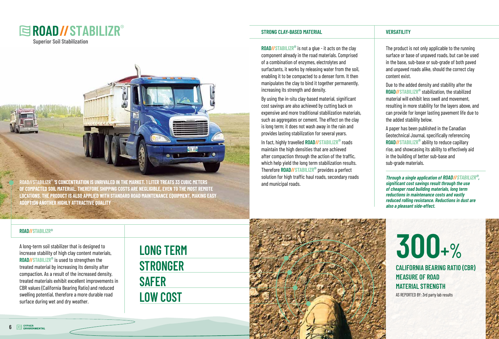**ROAD//STABILIZR**® **'S CONCENTRATION IS UNRIVALED IN THE MARKET. 1 LITER TREATS 33 CUBIC METERS OF COMPACTED SOIL MATERIAL, THEREFORE SHIPPING COSTS ARE NEGLIGIBLE, EVEN TO THE MOST REMOTE LOCATIONS. THE PRODUCT IS ALSO APPLIED WITH STANDARD ROAD MAINTENANCE EQUIPMENT, MAKING EASY ADOPTION ANOTHER HIGHLY ATTRACTIVE QUALITY**

A long-term soil stabilizer that is designed to increase stability of high clay content materials, **ROAD//STABILIZR**® is used to strengthen the treated material by increasing its density after compaction. As a result of the increased density, treated materials exhibit excellent improvements in CBR values (California Bearing Ratio) and reduced swelling potential, therefore a more durable road surface during wet and dry weather.







**LONG TERM STRONGER SAFER LOW COST**

### **STRONG CLAY-BASED MATERIAL VERSATILITY**

**ROAD//STABILIZR**® is not a glue - it acts on the clay component already in the road materials. Comprised of a combination of enzymes, electrolytes and surfactants, it works by releasing water from the soil, enabling it to be compacted to a denser form. It then manipulates the clay to bind it together permanently, increasing its strength and density.

By using the in-situ clay-based material, significant cost savings are also achieved by cutting back on expensive and more traditional stabilization materials, such as aggregates or cement. The effect on the clay is long term; it does not wash away in the rain and provides lasting stabilization for several years.

In fact, highly travelled **ROAD//STABILIZR**® roads maintain the high densities that are achieved after compaction through the action of the traffic, which help yield the long term stabilization results. Therefore **ROAD//STABILIZR**® provides a perfect solution for high traffic haul roads, secondary roads and municipal roads.

The product is not only applicable to the running surface or base of unpaved roads, but can be used in the base, sub-base or sub-grade of both paved and unpaved roads alike, should the correct clay content exist.

Due to the added density and stability after the **ROAD//STABILIZR**® stabilization, the stabilized material will exhibit less swell and movement, resulting in more stability for the layers above, and can provide for longer lasting pavement life due to the added stability below.

A paper has been published in the Canadian Geotechnical Journal, specifically referencing **ROAD//STABILIZR**® ability to reduce capillary rise, and showcasing its ability to effectively aid in the building of better sub-base and sub-grade materials.

**Through a single application of ROAD//STABILIZR**®**, significant cost savings result through the use of cheaper road building materials, long term reductions in maintenance costs and vastly reduced rolling resistance. Reductions in dust are also a pleasant side-effect.**



AS REPORTED BY: 3rd party lab results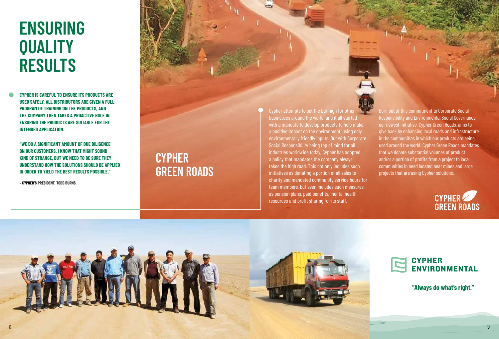# **ENSURING QUALITY RESULTS**

**CYPHER IS CAREFUL TO ENSURE ITS PRODUCTS ARE USED SAFELY. ALL DISTRIBUTORS ARE GIVEN A FULL PROGRAM OF TRAINING ON THE PRODUCTS, AND THE COMPANY THEN TAKES A PROACTIVE ROLE IN ENSURING THE PRODUCTS ARE SUITABLE FOR THE INTENDED APPLICATION.** 

**"WE DO A SIGNIFICANT AMOUNT OF DUE DILIGENCE ON OUR CUSTOMERS. I KNOW THAT MIGHT SOUND KIND OF STRANGE, BUT WE NEED TO BE SURE THEY UNDERSTAND HOW THE SOLUTIONS SHOULD BE APPLIED IN ORDER TO YIELD THE BEST RESULTS POSSIBLE."** 

**– CYPHER'S PRESIDENT, TODD BURNS.**

## **CYPHER GREEN ROADS**

give back by enhancing local roads and i<br>in the communities in which our product<br>used around the world. Cynher Green Roa and/or a portion of profits from a project to local<br>communities in need located near mines and large Born out of this commitment to Corporate Social Responsibility and Environmental Social Governance, our newest initiative, Cypher Green Roads, aims to give back by enhancing local roads and infrastructure in the communities in which our products are being used around the world. Cypher Green Roads mandates that we donate substantial volumes of product communities in need located near mines and large projects that are using Cypher solutions.





### **CYPHER ENVIRONMENTAL**

Cypher attempts to set the bar high for other businesses around the world, and it all started with a mandate to develop products to help make a positive impact on the environment, using only environmentally friendly inputs. But with Corporate Social Responsibility being top of mind for all industries worldwide today, Cypher has adopted a policy that mandates the company always takes the high road. This not only includes such initiatives as donating a portion of all sales to charity and mandated community service hours for team members, but even includes such measures as pension plans, paid benefits, mental health resources and profit sharing for its staff.



**"Always do what's right."**

8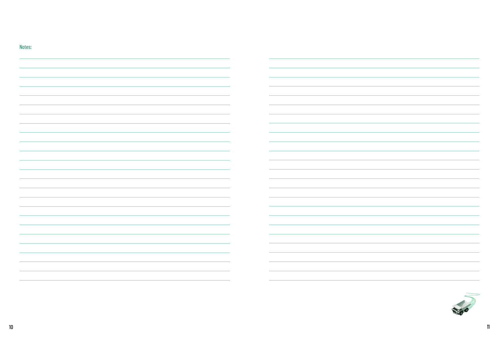| Notes:                                                                           |                                                                                                                       |
|----------------------------------------------------------------------------------|-----------------------------------------------------------------------------------------------------------------------|
|                                                                                  |                                                                                                                       |
|                                                                                  |                                                                                                                       |
|                                                                                  |                                                                                                                       |
|                                                                                  |                                                                                                                       |
|                                                                                  |                                                                                                                       |
|                                                                                  |                                                                                                                       |
|                                                                                  |                                                                                                                       |
|                                                                                  |                                                                                                                       |
|                                                                                  |                                                                                                                       |
|                                                                                  |                                                                                                                       |
|                                                                                  |                                                                                                                       |
|                                                                                  |                                                                                                                       |
|                                                                                  |                                                                                                                       |
|                                                                                  |                                                                                                                       |
|                                                                                  |                                                                                                                       |
|                                                                                  |                                                                                                                       |
|                                                                                  |                                                                                                                       |
|                                                                                  |                                                                                                                       |
|                                                                                  |                                                                                                                       |
|                                                                                  |                                                                                                                       |
|                                                                                  |                                                                                                                       |
|                                                                                  |                                                                                                                       |
|                                                                                  |                                                                                                                       |
|                                                                                  |                                                                                                                       |
|                                                                                  |                                                                                                                       |
|                                                                                  |                                                                                                                       |
| $\overline{\phantom{a}}$                                                         |                                                                                                                       |
|                                                                                  |                                                                                                                       |
|                                                                                  |                                                                                                                       |
| ,我们也不会有什么?""我们的人,我们也不会不会不会不会。""我们的人,我们也不会不会不会不会。""我们的人,我们也不会不会不会。""我们的人,我们也不会不会不 | <u> 1989 - Jan Barat de Barat de la contrada de la contrada de la contrada de la contrada de la contrada de la c</u>  |
|                                                                                  | <u> Alexandro de la contrada de la contrada de la contrada de la contrada de la contrada de la contrada de la con</u> |
| $\sim$ 100 $\mu$                                                                 | <u> 1989 - Jan Samuel Barbara, martin da shekara ta 1989 - An tsara tsara tsara tsara tsara tsara tsara tsara tsa</u> |
|                                                                                  |                                                                                                                       |
|                                                                                  | <u> 1989 - John Stoff, amerikansk politiker (d. 1989)</u>                                                             |